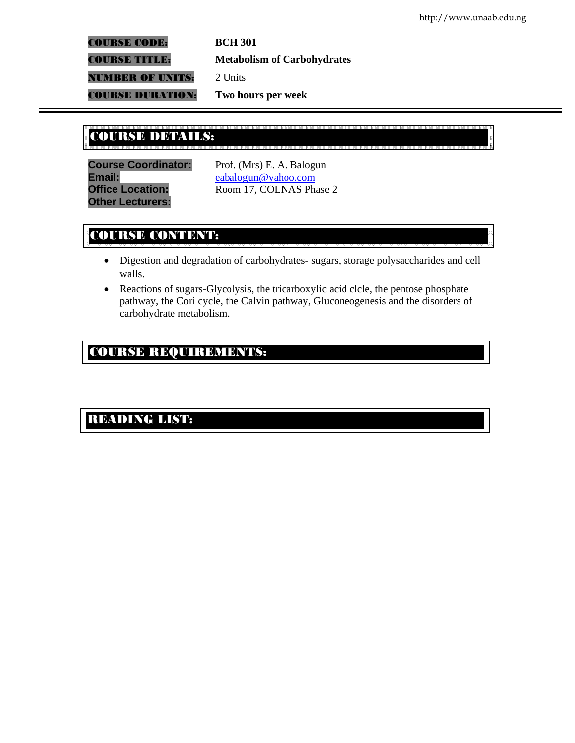COURSE CODE: **BCH 301**

COURSE TITLE: **Metabolism of Carbohydrates**

**NUMBER OF UNITS:** 2 Units

COURSE DURATION: **Two hours per week**

## COURSE DETAILS: COURSE DETAILS:

**Course Coordinator:** Prof. (Mrs) E. A. Balogun Email: eabalogun@yahoo.com **Other Lecturers:** 

**Office Location: Room 17, COLNAS Phase 2** 

# COURSE CONTENT:

- Digestion and degradation of carbohydrates- sugars, storage polysaccharides and cell walls.
- Reactions of sugars-Glycolysis, the tricarboxylic acid clcle, the pentose phosphate pathway, the Cori cycle, the Calvin pathway, Gluconeogenesis and the disorders of carbohydrate metabolism.

# COURSE REQUIREMENTS:

## READING LIST: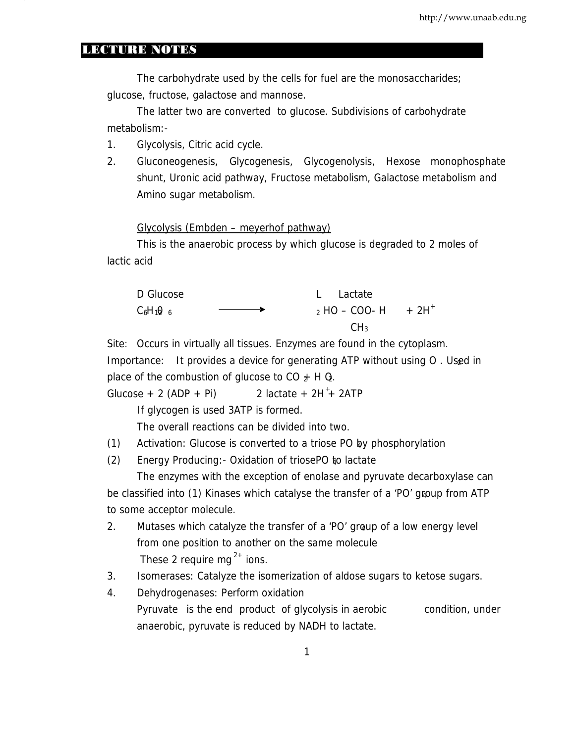### LECTURE NOTES

The carbohydrate used by the cells for fuel are the monosaccharides; glucose, fructose, galactose and mannose.

The latter two are converted to glucose. Subdivisions of carbohydrate metabolism:-

- 1. Glycolysis, Citric acid cycle.
- 2. Gluconeogenesis, Glycogenesis, Glycogenolysis, Hexose monophosphate shunt, Uronic acid pathway, Fructose metabolism, Galactose metabolism and Amino sugar metabolism.

Glycolysis (Embden – meyerhof pathway)

This is the anaerobic process by which glucose is degraded to 2 moles of lactic acid



Site: Occurs in virtually all tissues. Enzymes are found in the cytoplasm. Importance: It provides a device for generating ATP without using O. Used in place of the combustion of glucose to CO  $*$  H Q.

Glucose + 2 (ADP + Pi)  $2$  lactate +  $2H^+$  2ATP

If glycogen is used 3ATP is formed.

The overall reactions can be divided into two.

(1) Activation: Glucose is converted to a triose PO by phosphorylation 4

(2) Energy Producing:- Oxidation of triosePO to lactate <sup>4</sup>

The enzymes with the exception of enolase and pyruvate decarboxylase can be classified into (1) Kinases which catalyse the transfer of a 'PO' group from ATP to some acceptor molecule.

- 2. Mutases which catalyze the transfer of a 'PO' group of a low energy level from one position to another on the same molecule These 2 require mg<sup> $2+$ </sup> ions.
- 3 . Isomerases: Catalyze the isomerization of aldose sugars to ketose sugars.
- 4. Dehydrogenases: Perform oxidation Pyruvate is the end product of glycolysis in aerobic condition, under anaerobic, pyruvate is reduced by NADH to lactate.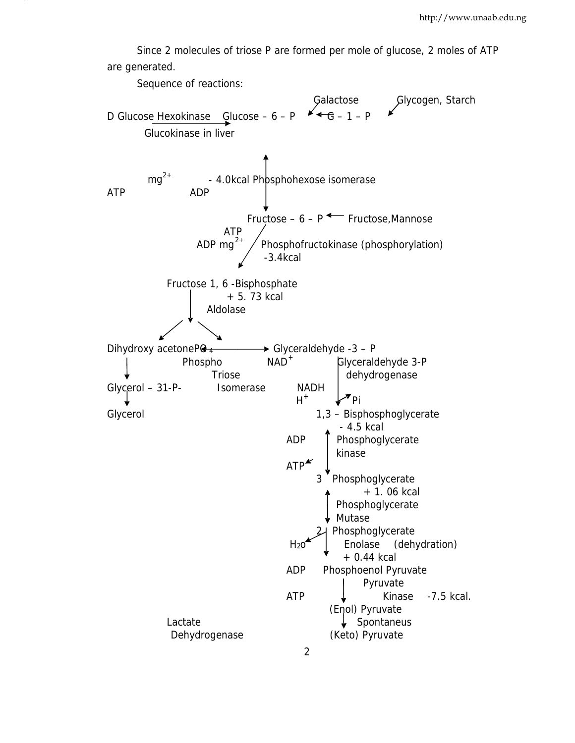Since 2 molecules of triose P are formed per mole of glucose, 2 moles of ATP are generated.

Sequence of reactions:

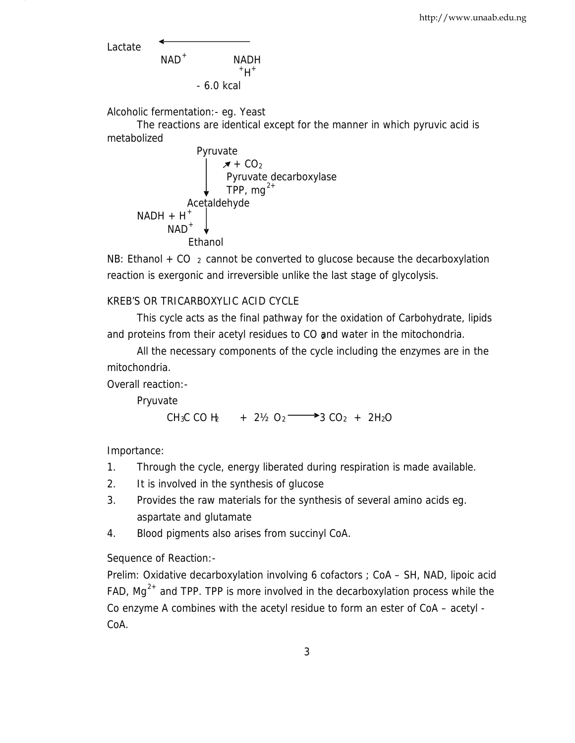Lactate

$$
NAD+ NADH†H+ +6.0 kcal
$$

Alcoholic fermentation:- eg. Yeast

The reactions are identical except for the manner in which pyruvic acid is metabolized

| Pyruvate                       |         |
|--------------------------------|---------|
| $\cancel{\overline{x} + CO_2}$ |         |
| Pyruvate decarboxylase         |         |
| TPP, mg <sup>2+</sup>          |         |
| Acetaldehyde                   |         |
| NADH + H <sup>+</sup>          |         |
| NAD <sup>+</sup>               | Ethanol |

NB: Ethanol  $+$  CO  $<sub>2</sub>$  cannot be converted to glucose because the decarboxylation</sub> reaction is exergonic and irreversible unlike the last stage of glycolysis.

## KREB'S OR TRICARBOXYLIC ACID CYCLE

This cycle acts as the final pathway for the oxidation of Carbohydrate, lipids and proteins from their acetyl residues to CO and water in the mitochondria.

```
All the necessary components of the cycle including the enzymes are in the
mitochondria.
```
Overall reaction:-

Pryuvate

CH<sub>3</sub>C CO H<sub>2</sub> + 2<sup>1</sup>/<sub>2</sub> O<sub>2</sub>  $\rightarrow$  3 CO<sub>2</sub> + 2H<sub>2</sub>O

Importance:

- 1. Through the cycle, energy liberated during respiration is made available.
- 2. It is involved in the synthesis of glucose
- 3 . Provides the raw materials for the synthesis of several amino acids eg. aspartate and glutamate
- 4. Blood pigments also arises from succinyl CoA.

Sequence of Reaction:-

Prelim: Oxidative decarboxylation involving 6 cofactors ; CoA – SH, NAD, lipoic acid FAD, Mg<sup>2+</sup> and TPP. TPP is more involved in the decarboxylation process while the Co enzyme A combines with the acetyl residue to form an ester of CoA – acetyl - CoA.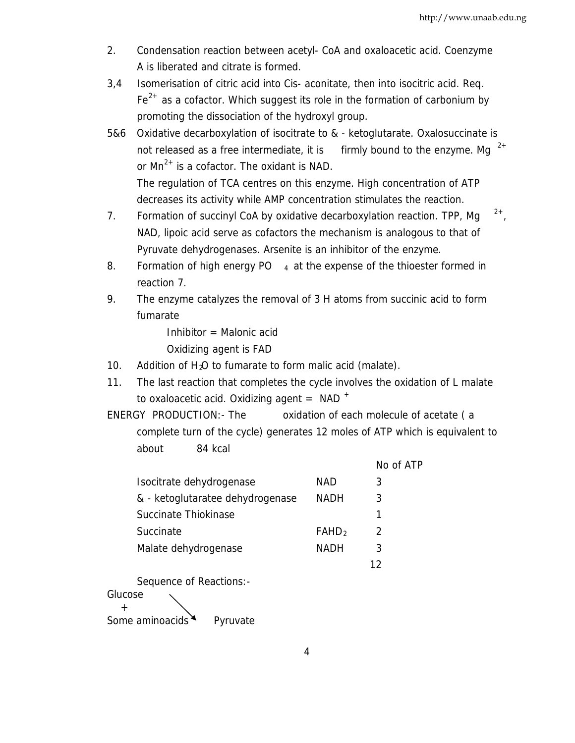- 2. Condensation reaction between acetyl- CoA and oxaloacetic acid. Coenzyme A is liberated and citrate is formed.
- promoting the dissociation of the hydroxyl group. 3 ,4 Isomerisation of citric acid into Cis- aconitate, then into isocitric acid. Req.  $Fe<sup>2+</sup>$  as a cofactor. Which suggest its role in the formation of carbonium by
- 5 &6 Oxidative decarboxylation of isocitrate to & ketoglutarate. Oxalosuccinate is not released as a free intermediate, it is firmly bound to the enzyme. Mg  $2^+$ or  $Mn^{2+}$  is a cofactor. The oxidant is NAD. The regulation of TCA centres on this enzyme. High concentration of ATP

decreases its activity while AMP concentration stimulates the reaction.

- 7. Formation of succinyl CoA by oxidative decarboxylation reaction. TPP, Mg  $^{2+}$ , NAD, lipoic acid serve as cofactors the mechanism is analogous to that of Pyruvate dehydrogenases. Arsenite is an inhibitor of the enzyme.
- 8. Formation of high energy PO  $_4$  at the expense of the thioester formed in reaction 7.
- 9. The enzyme catalyzes the removal of 3 H atoms from succinic acid to form fumarate

Inhibitor  $=$  Malonic acid Oxidizing agent is FAD

- 10. Addition of  $H<sub>2</sub>O$  to fumarate to form malic acid (malate).
- 11. The last reaction that completes the cycle involves the oxidation of L malate to oxaloacetic acid. Oxidizing agent =  $NAD$ <sup>+</sup>

ENERGY PRODUCTION:- The oxidation of each molecule of acetate ( a complete turn of the cycle) generates 12 moles of ATP which is equivalent to about 84 kcal

|                                  |                          | No of ATP |
|----------------------------------|--------------------------|-----------|
| Isocitrate dehydrogenase         | NAD                      | 3         |
| & - ketoglutaratee dehydrogenase | <b>NADH</b>              | 3         |
| Succinate Thiokinase             |                          |           |
| Succinate                        | <b>FAHD</b> <sub>2</sub> | 2         |
| Malate dehydrogenase             | <b>NADH</b>              | 3         |
|                                  |                          | 12        |

Sequence of Reactions:-

Glucose +

Some aminoacids Pyruvate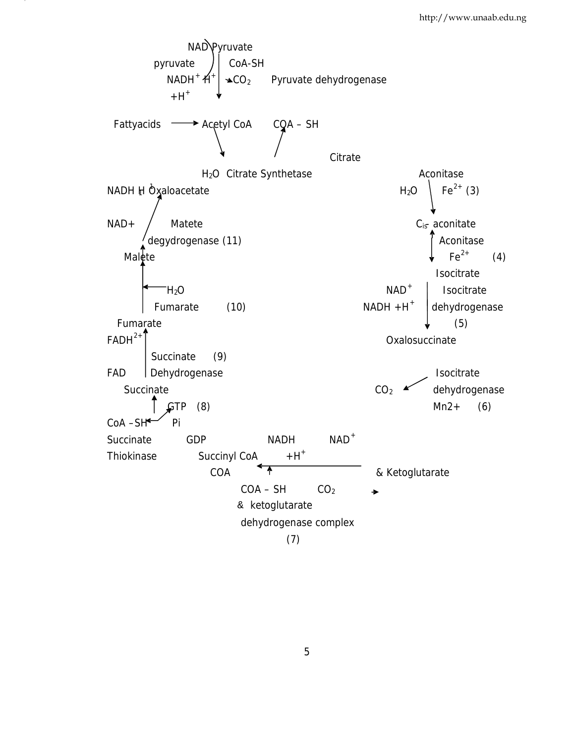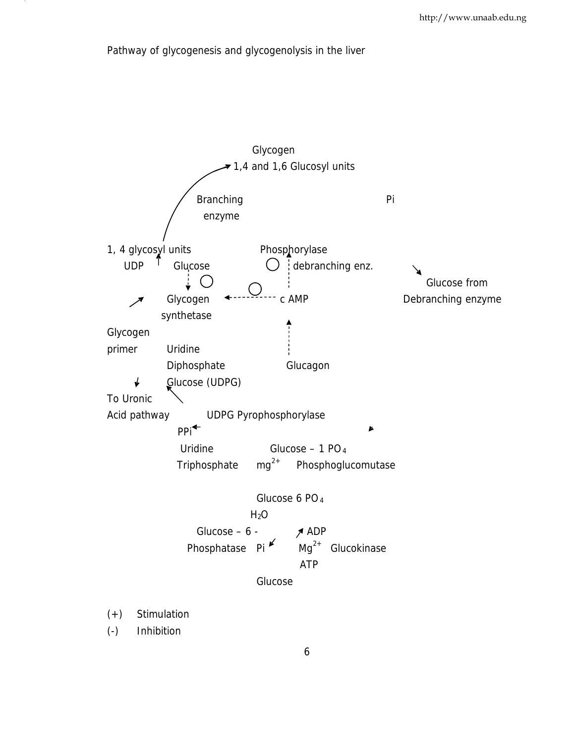Pathway of glycogenesis and glycogenolysis in the liver

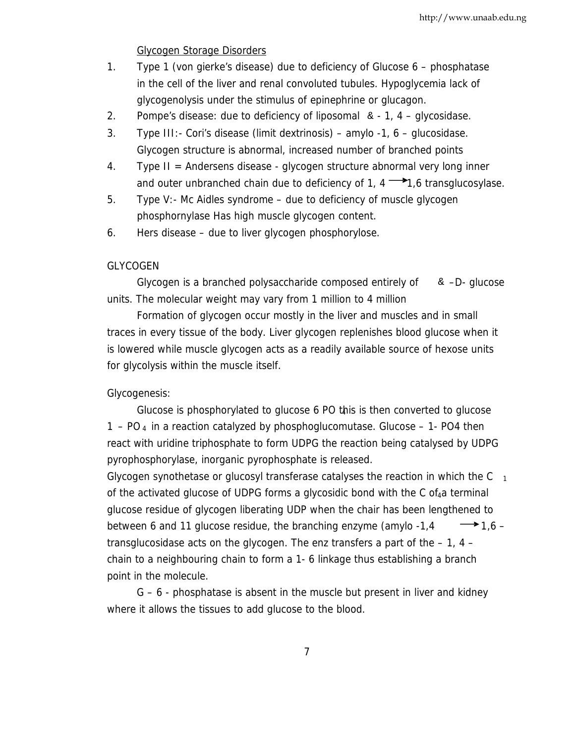#### Glycogen Storage Disorders

- 1 . Type 1 (von gierke's disease) due to deficiency of Glucose 6 phosphatase in the cell of the liver and renal convoluted tubules. Hypoglycemia lack of glycogenolysis under the stimulus of epinephrine or glucagon.
- 2. Pompe's disease: due to deficiency of liposomal  $\alpha$  1, 4 glycosidase.
- 3 . Type III:- Cori's disease (limit dextrinosis) amylo -1, 6 glucosidase. Glycogen structure is abnormal, increased number of branched points
- 4 . Type II = Andersens disease glycogen structure abnormal very long inner and outer unbranched chain due to deficiency of 1,  $4 \rightarrow 1.6$  transglucosylase.
- phosphornylase Has high muscle glycogen content. 5 . Type V:- Mc Aidles syndrome – due to deficiency of muscle glycogen
- 6 . Hers disease due to liver glycogen phosphorylose.

### GLYCOGEN

Glycogen is a branched polysaccharide composed entirely of  $\& -D -$  glucose units. The molecular weight may vary from 1 million to 4 million

Formation of glycogen occur mostly in the liver and muscles and in small traces in every tissue of the body. Liver glycogen replenishes blood glucose when it is lowered while muscle glycogen acts as a readily available source of hexose units for glycolysis within the muscle itself.

#### Glycogenesis:

Glucose is phosphorylated to glucose 6 PO this is then converted to glucose <sup>4</sup> 1 – PO<sub>4</sub> in a reaction catalyzed by phosphoglucomutase. Glucose – 1- PO4 then react with uridine triphosphate to form UDPG the reaction being catalysed by UDPG pyrophosphorylase, inorganic pyrophosphate is released.

Glycogen synothetase or glucosyl transferase catalyses the reaction in which the  $C_{1}$ of the activated glucose of UDPG forms a glycosidic bond with the C of  $_4$ a terminal glucose residue of glycogen liberating UDP when the chair has been lengthened to between 6 and 11 glucose residue, the branching enzyme (amylo -1,4  $\rightarrow$  1,6 – transglucosidase acts on the glycogen. The enz transfers a part of the  $-1$ , 4 – chain to a neighbouring chain to form a 1- 6 linkage thus establishing a branch point in the molecule.

G – 6 - phosphatase is absent in the muscle but present in liver and kidney where it allows the tissues to add glucose to the blood.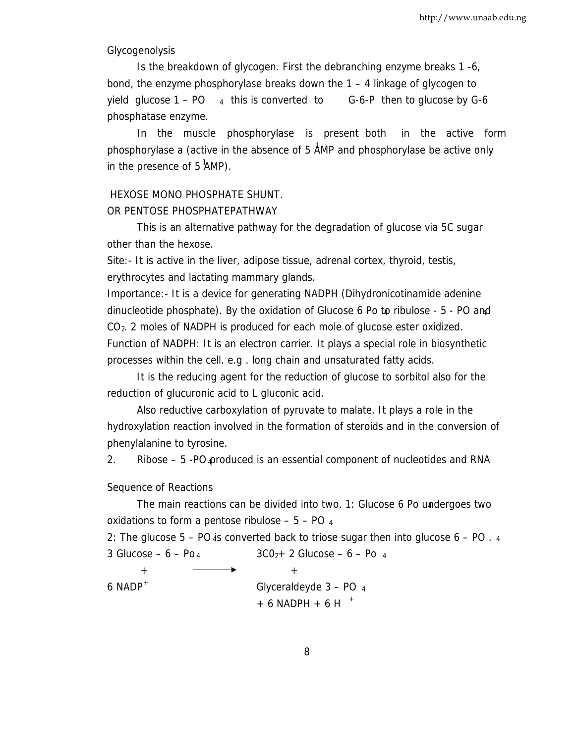#### Glycogenolysis

Is the breakdown of glycogen. First the debranching enzyme breaks 1 -6, bond, the enzyme phosphorylase breaks down the 1 – 4 linkage of glycogen to yield glucose  $1 - PO$  4 this is converted to G-6-P then to glucose by G-6 phosphatase enzyme.

In the muscle phosphorylase is present both in the active form phosphorylase a (active in the absence of 5 AMP and phosphorylase be active only <sup>1</sup> in the presence of  $5$  AMP).

## HEXOSE MONO PHOSPHATE SHUNT.

OR PENTOSE PHOSPHATEPATHWAY

This is an alternative pathway for the degradation of glucose via 5C sugar other than the hexose.

Site:- It is active in the liver, adipose tissue, adrenal cortex, thyroid, testis, erythrocytes and lactating mammary glands.

Importance:- It is a device for generating NADPH (Dihydronicotinamide adenine dinucleotide phosphate). By the oxidation of Glucose  $6$  Po to ribulose  $-5$  - PO and  $CO<sub>2</sub>$ . 2 moles of NADPH is produced for each mole of glucose ester oxidized. Function of NADPH: It is an electron carrier. It plays a special role in biosynthetic processes within the cell. e.g . long chain and unsaturated fatty acids.

It is the reducing agent for the reduction of glucose to sorbitol also for the reduction of glucuronic acid to L gluconic acid.

Also reductive carboxylation of pyruvate to malate. It plays a role in the hydroxylation reaction involved in the formation of steroids and in the conversion of phenylalanine to tyrosine.

2. Ribose  $-5$  -PO produced is an essential component of nucleotides and RNA

### Sequence of Reactions

The main reactions can be divided into two. 1: Glucose 6 Po undergoes two <sup>4</sup> oxidations to form a pentose ribulose  $-5 - PO$  4

2: The glucose  $5 - PO$  is converted back to triose sugar then into glucose  $6 - PO$ .  $3 \text{ Glucose} - 6 - \text{Po}_4$   $3 \text{CO}_{2} + 2 \text{ Glucose} - 6 - \text{Po}_4$ 

+ +

6 NADP<sup>+</sup> Glyceraldeyde  $3 - PO$  4  $+ 6$  NADPH  $+ 6$  H  $+$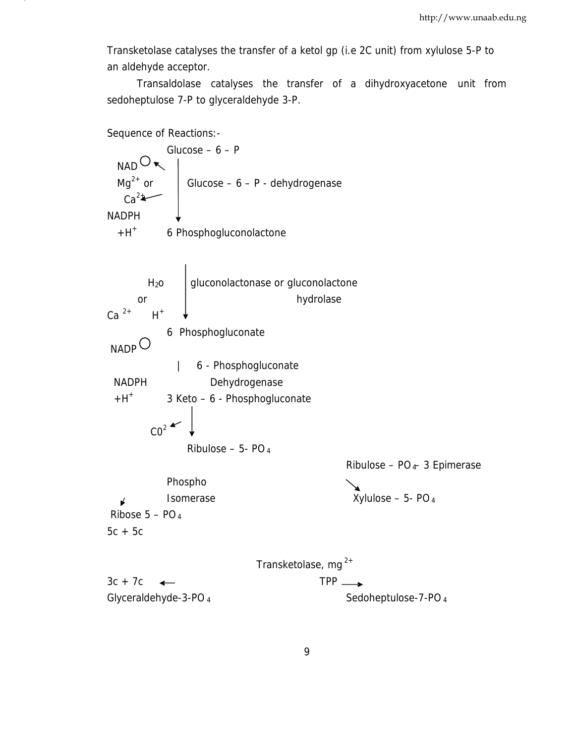an aldehyde acceptor. Transketolase catalyses the transfer of a ketol gp (i.e 2C unit) from xylulose 5-P to

Transaldolase catalyses the transfer of a dihydroxyacetone unit from sedoheptulose 7-P to glyceraldehyde 3-P.

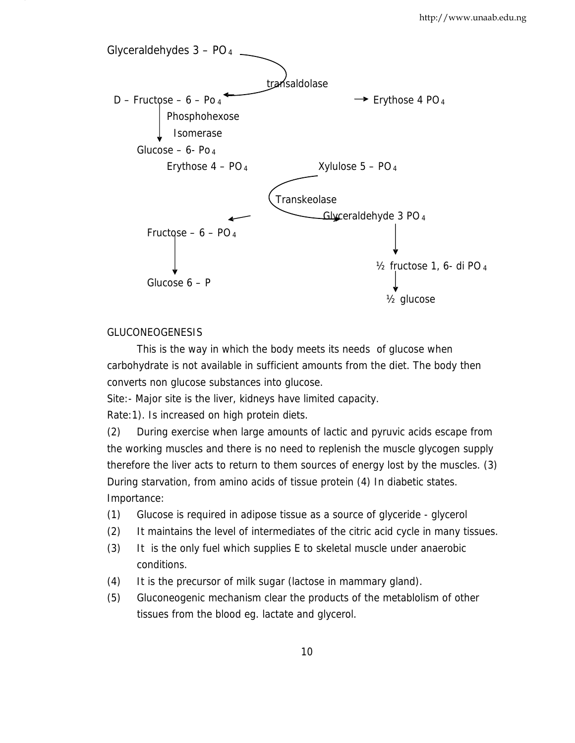

### GLUCONEOGENESIS

This is the way in which the body meets its needs of glucose when carbohydrate is not available in sufficient amounts from the diet. The body then converts non glucose substances into glucose.

Site:- Major site is the liver, kidneys have limited capacity.

Rate:1). Is increased on high protein diets.

(2) During exercise when large amounts of lactic and pyruvic acids escape from the working muscles and there is no need to replenish the muscle glycogen supply therefore the liver acts to return to them sources of energy lost by the muscles. (3) During starvation, from amino acids of tissue protein (4) In diabetic states. Importance:

- (1) Glucose is required in adipose tissue as a source of glyceride glycerol
- (2) It maintains the level of intermediates of the citric acid cycle in many tissues.
- (3) It is the only fuel which supplies E to skeletal muscle under anaerobic conditions.
- (4) It is the precursor of milk sugar (lactose in mammary gland).
- (5) Gluconeogenic mechanism clear the products of the metablolism of other tissues from the blood eg. lactate and glycerol.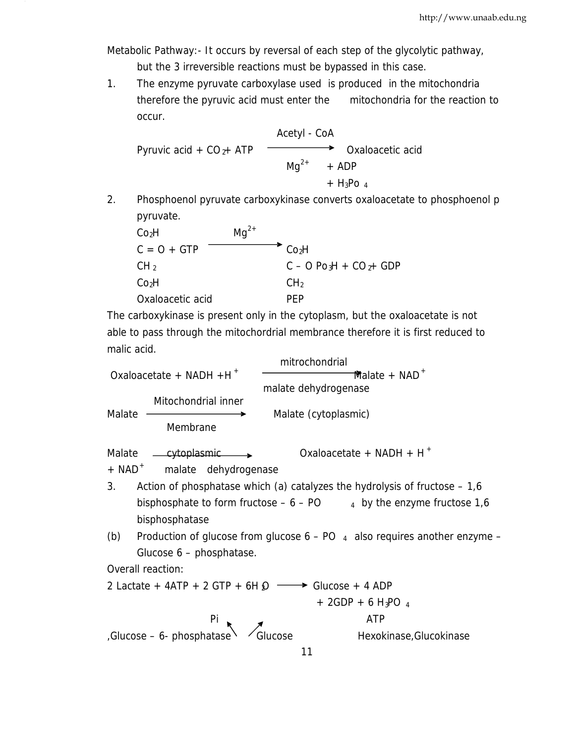Metabolic Pathway:- It occurs by reversal of each step of the glycolytic pathway, but the 3 irreversible reactions must be bypassed in this case.

1. The enzyme pyruvate carboxylase used is produced in the mitochondria therefore the pyruvic acid must enter the mitochondria for the reaction to occur.

Acetyl - CoA Pyruvic acid +  $CO_{2}$ + ATP  $\longrightarrow$  Oxaloacetic acid  $\text{Mq}^{2+}$  + ADP  $+ H_3$ Po 4

2. Phosphoenol pyruvate carboxykinase converts oxaloacetate to phosphoenol p pyruvate.

| Co <sub>2</sub> H | $Ma^{2+}$         |                         |
|-------------------|-------------------|-------------------------|
| $C = O + GTP$     | Co <sub>2</sub> H |                         |
| CH <sub>2</sub>   |                   | $C - O Po3H + CO2+ GDP$ |
| Co <sub>2</sub> H | CH <sub>2</sub>   |                         |
| Oxaloacetic acid  | PFP               |                         |

The carboxykinase is present only in the cytoplasm, but the oxaloacetate is not able to pass through the mitochordrial membrance therefore it is first reduced to malic acid.

11 mitrochondrial  $Oxaloacetate + NADH +H^+$   $\longrightarrow$  Malate + NAD<sup>+</sup> malate dehydrogenase Mitochondrial inner Malate —————<del>————></del> Malate (cytoplasmic) Membrane Malate  $\rightarrow$  Cytoplasmic  $\rightarrow$  Oxaloacetate + NADH + H<sup>+</sup>  $+$  NAD<sup>+</sup> malate dehydrogenase 3 . Action of phosphatase which (a) catalyzes the hydrolysis of fructose – 1,6 bisphosphate to form fructose  $-6 - PO$   $4$  by the enzyme fructose 1,6 bisphosphatase (b) Production of glucose from glucose  $6 - PO$  4 also requires another enzyme – Glucose 6 – phosphatase. Overall reaction: 2 Lactate + 4ATP + 2 GTP + 6H  $\Omega \longrightarrow$  Glucose + 4 ADP  $+ 2GDP + 6 H<sub>3</sub>PO<sub>4</sub>$ Pi and a set of the set of the set of the set of the set of the set of the set of the set of the set of the set of the set of the set of the set of the set of the set of the set of the set of the set of the set of the set  $G$ Glucose – 6- phosphatase  $\sqrt{G}$ lucose Hexokinase,Glucokinase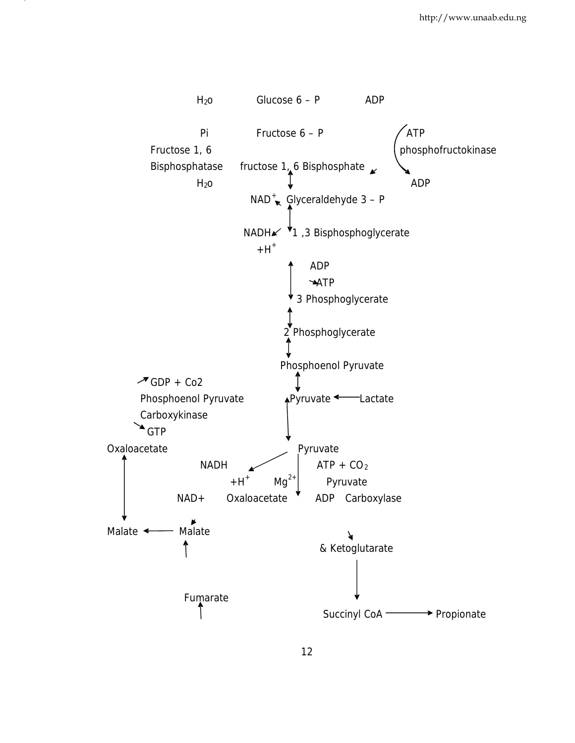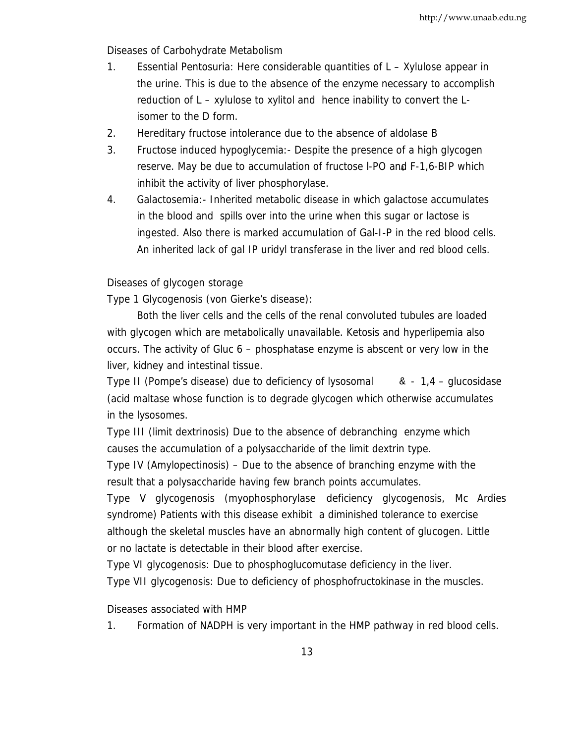Diseases of Carbohydrate Metabolism

- isomer to the D form. 1. Essential Pentosuria: Here considerable quantities of L – Xylulose appear in the urine. This is due to the absence of the enzyme necessary to accomplish reduction of L – xylulose to xylitol and hence inability to convert the L-
- 2. Hereditary fructose intolerance due to the absence of aldolase B
- 3. Fructose induced hypoglycemia: Despite the presence of a high glycogen reserve. May be due to accumulation of fructose l-PO and F-1,6-BIP which <sup>4</sup> inhibit the activity of liver phosphorylase.
- 4. Galactosemia:- Inherited metabolic disease in which galactose accumulates in the blood and spills over into the urine when this sugar or lactose is ingested. Also there is marked accumulation of Gal-I-P in the red blood cells. An inherited lack of gal IP uridyl transferase in the liver and red blood cells.

## Diseases of glycogen storage

Type 1 Glycogenosis (von Gierke's disease):

Both the liver cells and the cells of the renal convoluted tubules are loaded with glycogen which are metabolically unavailable. Ketosis and hyperlipemia also occurs. The activity of Gluc 6 – phosphatase enzyme is abscent or very low in the liver, kidney and intestinal tissue.

Type II (Pompe's disease) due to deficiency of lysosomal  $\alpha$  - 1,4 – glucosidase (acid maltase whose function is to degrade glycogen which otherwise accumulates in the lysosomes.

Type III (limit dextrinosis) Due to the absence of debranching enzyme which causes the accumulation of a polysaccharide of the limit dextrin type.

Type IV (Amylopectinosis) – Due to the absence of branching enzyme with the result that a polysaccharide having few branch points accumulates.

Type V glycogenosis (myophosphorylase deficiency glycogenosis, Mc Ardies syndrome) Patients with this disease exhibit a diminished tolerance to exercise although the skeletal muscles have an abnormally high content of glucogen. Little or no lactate is detectable in their blood after exercise.

Type VI glycogenosis: Due to phosphoglucomutase deficiency in the liver.

Type VII glycogenosis: Due to deficiency of phosphofructokinase in the muscles.

Diseases associated with HMP

1 . Formation of NADPH is very important in the HMP pathway in red blood cells.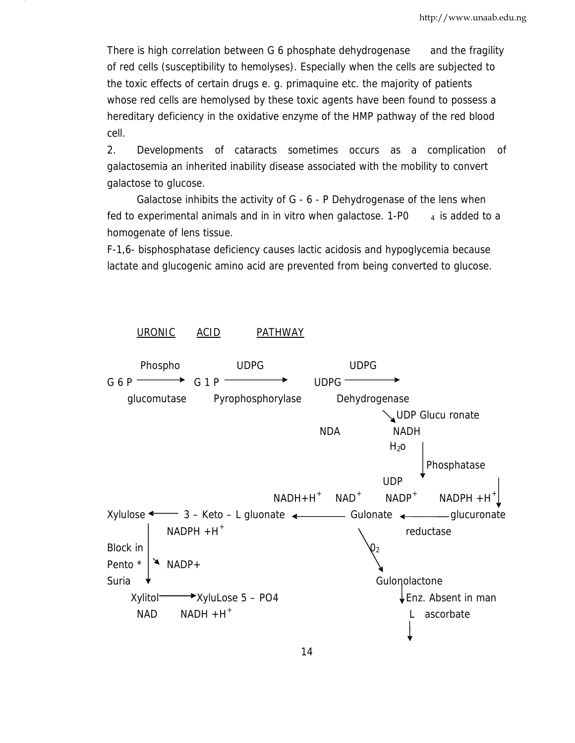There is high correlation between G 6 phosphate dehydrogenase and the fragility of red cells (susceptibility to hemolyses). Especially when the cells are subjected to the toxic effects of certain drugs e. g. primaquine etc. the majority of patients whose red cells are hemolysed by these toxic agents have been found to possess a hereditary deficiency in the oxidative enzyme of the HMP pathway of the red blood cell.

 galactose to glucose. 2. Developments of cataracts sometimes occurs as a complication of galactosemia an inherited inability disease associated with the mobility to convert

Galactose inhibits the activity of G - 6 - P Dehydrogenase of the lens when fed to experimental animals and in in vitro when galactose.  $1-P0$   $4$  is added to a homogenate of lens tissue.

F-1,6- bisphosphatase deficiency causes lactic acidosis and hypoglycemia because lactate and glucogenic amino acid are prevented from being converted to glucose.

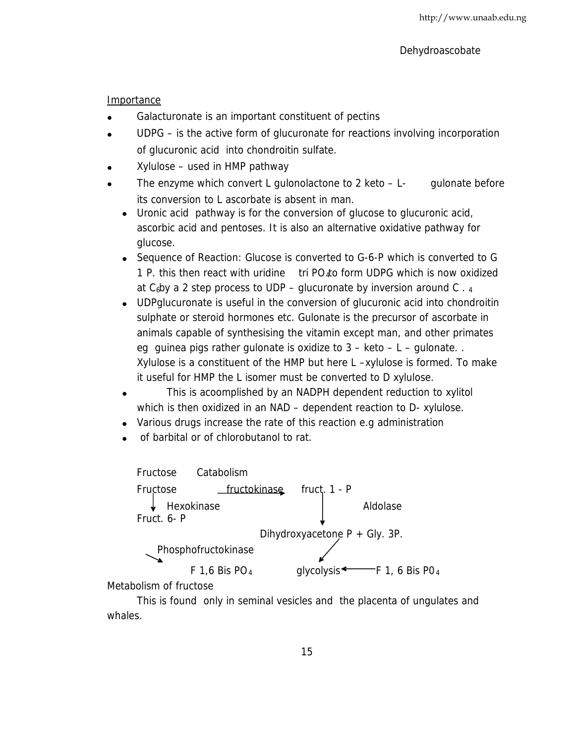Importance

- Galacturonate is an important constituent of pectins
- UDPG is the active form of glucuronate for reactions involving incorporation of glucuronic acid into chondroitin sulfate.
- Xylulose used in HMP pathway
- The enzyme which convert L gulonolactone to 2 keto  $-L$  gulonate before its conversion to L ascorbate is absent in man.
	- Uronic acid pathway is for the conversion of glucose to glucuronic acid, ascorbic acid and pentoses. It is also an alternative oxidative pathway for glucose.
	- Sequence of Reaction: Glucose is converted to G-6-P which is converted to G 1 P. this then react with uridine  $\frac{1}{10}$  tri PO to form UDPG which is now oxidized at  $C_6$ by a 2 step process to UDP – glucuronate by inversion around C  $.4$
	- UDPglucuronate is useful in the conversion of glucuronic acid into chondroitin sulphate or steroid hormones etc. Gulonate is the precursor of ascorbate in animals capable of synthesising the vitamin except man, and other primates eg guinea pigs rather gulonate is oxidize to  $3 -$  keto  $- L -$  gulonate... Xylulose is a constituent of the HMP but here L –xylulose is formed. To make it useful for HMP the L isomer must be converted to D xylulose.
	- This is acoomplished by an NADPH dependent reduction to xylitol which is then oxidized in an NAD – dependent reaction to D- xylulose.
	- Various drugs increase the rate of this reaction e.g administration
	- of barbital or of chlorobutanol to rat.



Metabolism of fructose

This is found only in seminal vesicles and the placenta of ungulates and whales.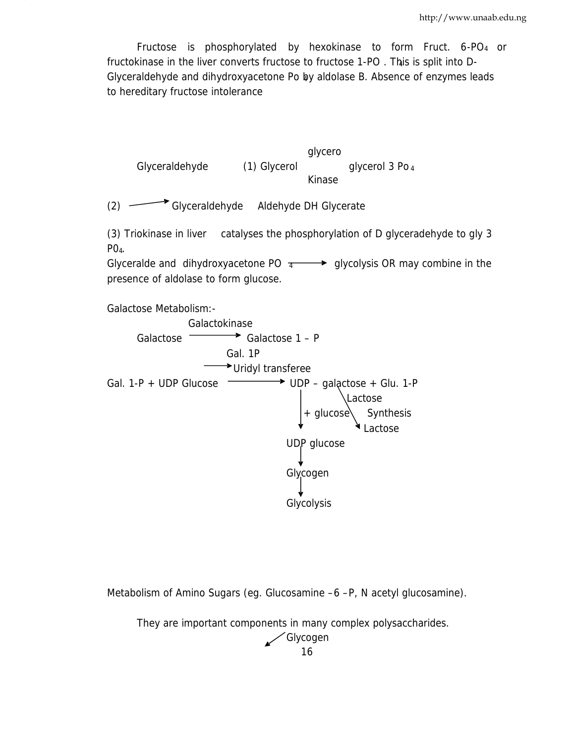Fructose is phosphorylated by hexokinase to form Fruct. 6-PO4 or fructokinase in the liver converts fructose to fructose 1-PO . This is split into D- <sup>4</sup> Glyceraldehyde and dihydroxyacetone Po by aldolase B. Absence of enzymes leads <sup>4</sup> to hereditary fructose intolerance

glycero Glyceraldehyde (1) Glycerol glycerol 3 Po 4 Kinase (2) Glyceraldehyde Aldehyde DH Glycerate (3) Triokinase in liver catalyses the phosphorylation of D glyceradehyde to gly 3  $PO<sub>4</sub>$ . Glyceralde and dihydroxyacetone PO  $\overline{4}$   $\longrightarrow$  glycolysis OR may combine in the presence of aldolase to form glucose. Galactose Metabolism:- Galactokinase Galactose  $\longrightarrow$  Galactose 1 – P Gal. 1P Uridyl transferee Gal. 1-P + UDP Glucose  $\longrightarrow$  UDP – galactose + Glu. 1-P Lactose  $+$  glucose Synthesis Lactose UDP glucose Glycogen Glycolysis

Metabolism of Amino Sugars (eg. Glucosamine –6 –P, N acetyl glucosamine).

They are important components in many complex polysaccharides.

Ź

Glycogen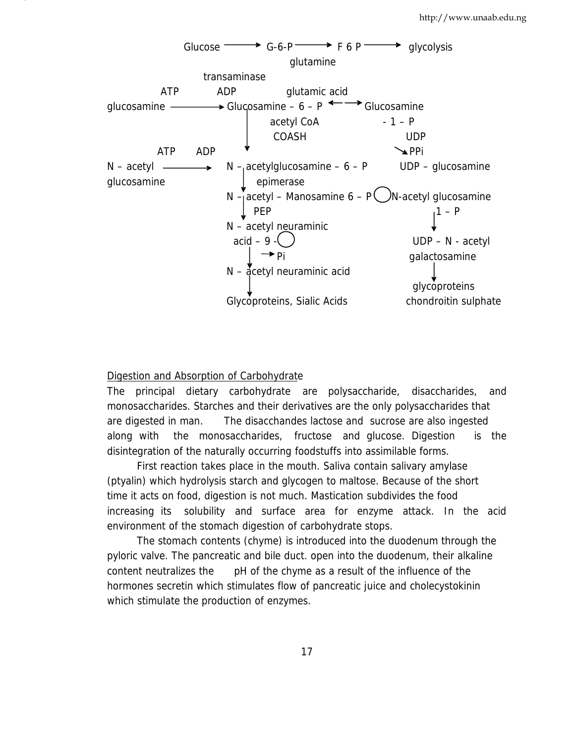

### Digestion and Absorption of Carbohydrate

The principal dietary carbohydrate are polysaccharide, disaccharides, and monosaccharides. Starches and their derivatives are the only polysaccharides that are digested in man. The disacchandes lactose and sucrose are also ingested along with the monosaccharides, fructose and glucose. Digestion is the disintegration of the naturally occurring foodstuffs into assimilable forms.

First reaction takes place in the mouth. Saliva contain salivary amylase (ptyalin) which hydrolysis starch and glycogen to maltose. Because of the short time it acts on food, digestion is not much. Mastication subdivides the food increasing its solubility and surface area for enzyme attack. In the acid environment of the stomach digestion of carbohydrate stops.

The stomach contents (chyme) is introduced into the duodenum through the pyloric valve. The pancreatic and bile duct. open into the duodenum, their alkaline content neutralizes the pH of the chyme as a result of the influence of the hormones secretin which stimulates flow of pancreatic juice and cholecystokinin which stimulate the production of enzymes.